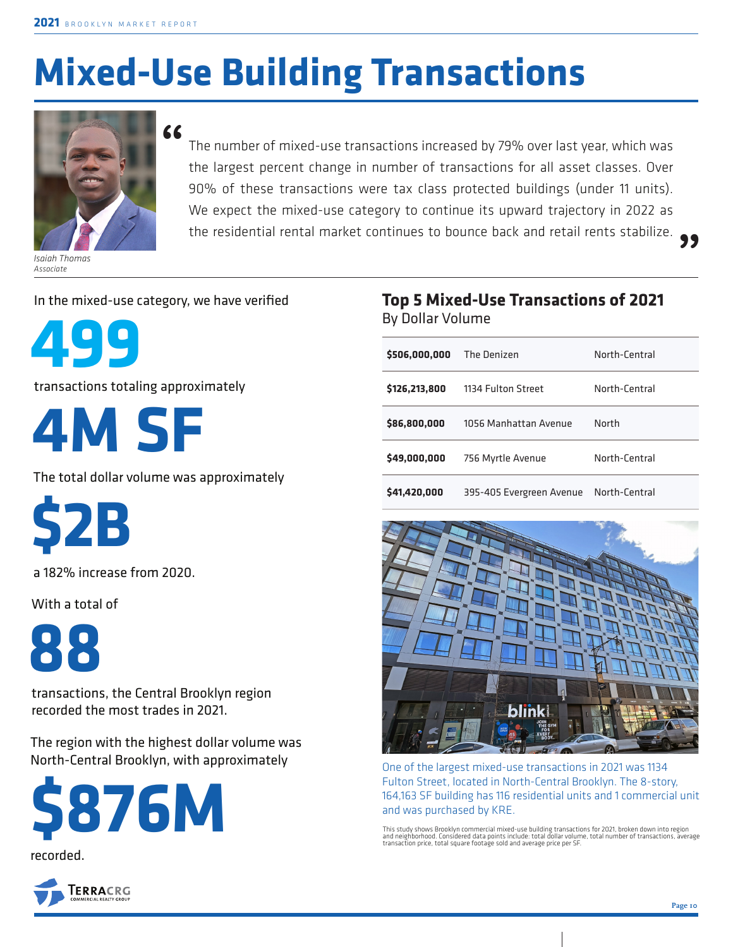# **Mixed-Use Building Transactions**



*Isaiah Thomas Associate*

The number of mixed-use transactions increased by 79% over last year, which was the largest percent change in number of transactions for all asset classes. Over 90% of these transactions were tax class protected buildings (under 11 units). We expect the mixed-use category to continue its upward trajectory in 2022 as the residential rental market continues to bounce back and retail rents stabilize. **" "**

#### In the mixed-use category, we have verified



transactions totaling approximately

**4M SF**

The total dollar volume was approximately

**\$2B**

a 182% increase from 2020.

With a total of



transactions, the Central Brooklyn region recorded the most trades in 2021.

The region with the highest dollar volume was North-Central Brooklyn, with approximately





#### **Top 5 Mixed-Use Transactions of 2021**  By Dollar Volume

| \$506,000,000 | The Denizen              | North-Central |
|---------------|--------------------------|---------------|
| \$126,213,800 | 1134 Fulton Street       | North-Central |
| \$86,800,000  | 1056 Manhattan Avenue    | North         |
| \$49,000,000  | 756 Myrtle Avenue        | North-Central |
| \$41,420,000  | 395-405 Evergreen Avenue | North-Central |



One of the largest mixed-use transactions in 2021 was 1134 Fulton Street, located in North-Central Brooklyn. The 8-story, 164,163 SF building has 116 residential units and 1 commercial unit and was purchased by KRE.

This study shows Brooklyn commercial mixed-use building transactions for 2021, broken down into region<br>and neighborhood. Considered data points include: total dollar volume, total number of transactions, average<br>transactio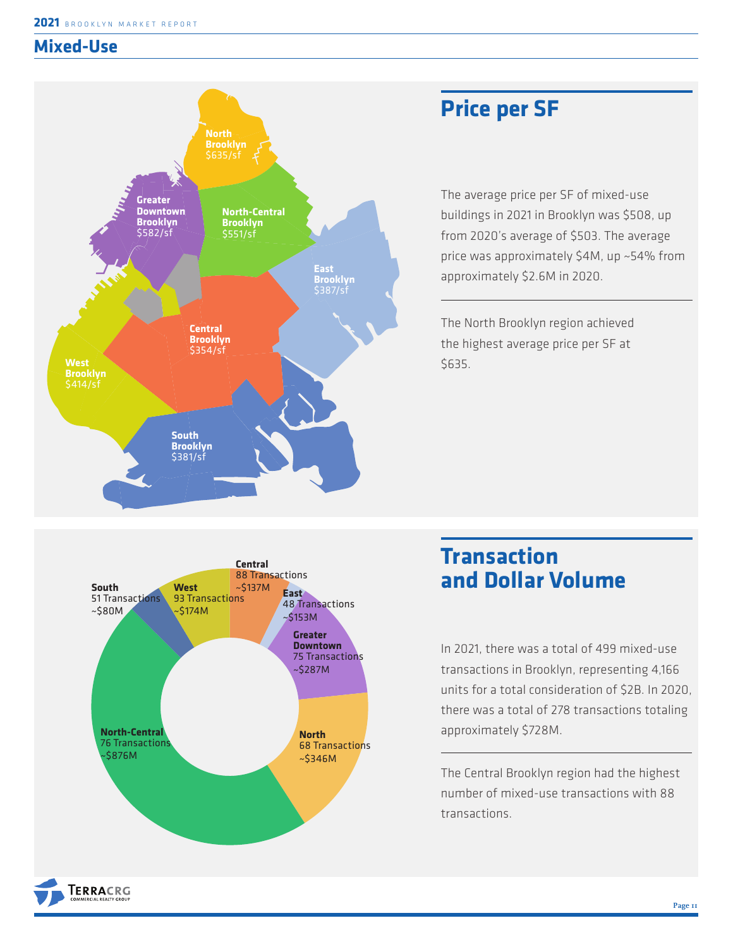### **Mixed-Use**



## **Price per SF**

The average price per SF of mixed-use buildings in 2021 in Brooklyn was \$508, up from 2020's average of \$503. The average price was approximately \$4M, up ~54% from approximately \$2.6M in 2020.

The North Brooklyn region achieved the highest average price per SF at \$635.



**TERRACRG** 

## **Transaction and Dollar Volume**

In 2021, there was a total of 499 mixed-use transactions in Brooklyn, representing 4,166 units for a total consideration of \$2B. In 2020, there was a total of 278 transactions totaling approximately \$728M.

The Central Brooklyn region had the highest number of mixed-use transactions with 88 transactions.